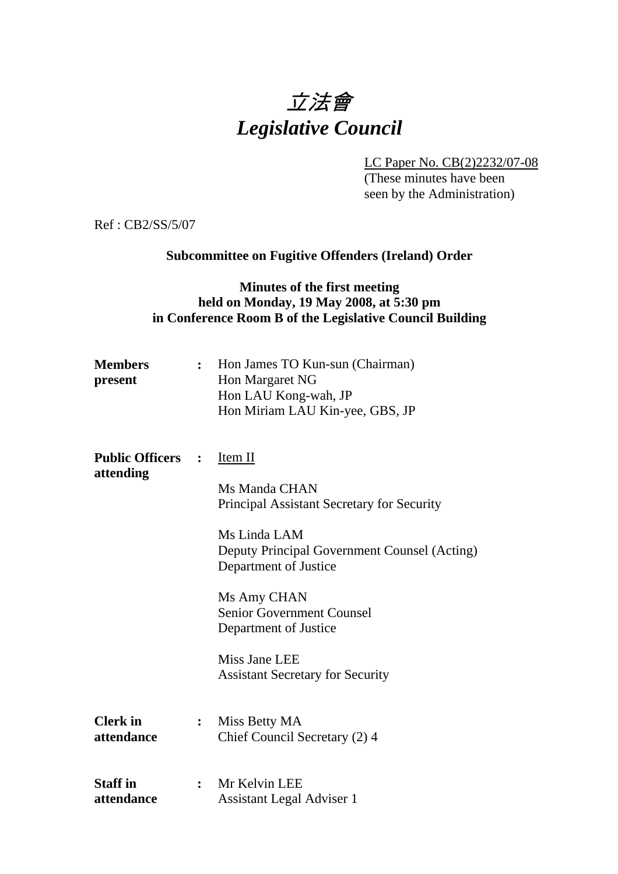# 立法會 *Legislative Council*

LC Paper No. CB(2)2232/07-08

(These minutes have been seen by the Administration)

Ref : CB2/SS/5/07

# **Subcommittee on Fugitive Offenders (Ireland) Order**

# **Minutes of the first meeting held on Monday, 19 May 2008, at 5:30 pm in Conference Room B of the Legislative Council Building**

| <b>Members</b><br>present           | $\ddot{\cdot}$ | Hon James TO Kun-sun (Chairman)<br><b>Hon Margaret NG</b><br>Hon LAU Kong-wah, JP<br>Hon Miriam LAU Kin-yee, GBS, JP                                                                                                                                                                                           |
|-------------------------------------|----------------|----------------------------------------------------------------------------------------------------------------------------------------------------------------------------------------------------------------------------------------------------------------------------------------------------------------|
| <b>Public Officers</b><br>attending |                | Item II<br>Ms Manda CHAN<br><b>Principal Assistant Secretary for Security</b><br>Ms Linda LAM<br>Deputy Principal Government Counsel (Acting)<br>Department of Justice<br>Ms Amy CHAN<br><b>Senior Government Counsel</b><br>Department of Justice<br>Miss Jane LEE<br><b>Assistant Secretary for Security</b> |
| <b>Clerk</b> in<br>attendance       | $\ddot{\cdot}$ | Miss Betty MA<br>Chief Council Secretary (2) 4                                                                                                                                                                                                                                                                 |
| <b>Staff</b> in<br>attendance       | $\ddot{\cdot}$ | Mr Kelvin LEE<br><b>Assistant Legal Adviser 1</b>                                                                                                                                                                                                                                                              |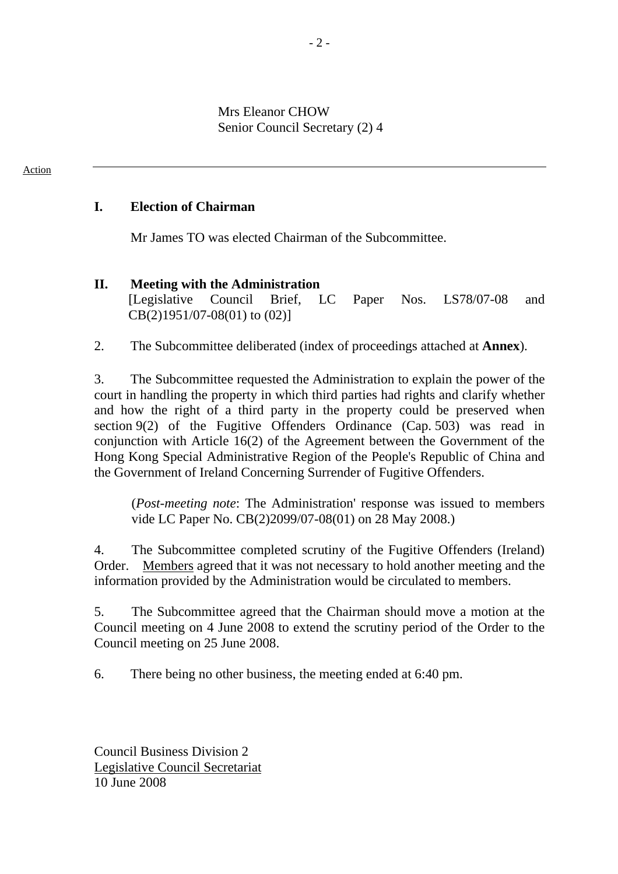Mrs Eleanor CHOW Senior Council Secretary (2) 4

## **I. Election of Chairman**

Action

Mr James TO was elected Chairman of the Subcommittee.

### **II. Meeting with the Administration**

[Legislative Council Brief, LC Paper Nos. LS78/07-08 and CB(2)1951/07-08(01) to (02)]

2. The Subcommittee deliberated (index of proceedings attached at **Annex**).

3. The Subcommittee requested the Administration to explain the power of the court in handling the property in which third parties had rights and clarify whether and how the right of a third party in the property could be preserved when section 9(2) of the Fugitive Offenders Ordinance (Cap. 503) was read in conjunction with Article 16(2) of the Agreement between the Government of the Hong Kong Special Administrative Region of the People's Republic of China and the Government of Ireland Concerning Surrender of Fugitive Offenders.

(*Post-meeting note*: The Administration' response was issued to members vide LC Paper No. CB(2)2099/07-08(01) on 28 May 2008.)

4. The Subcommittee completed scrutiny of the Fugitive Offenders (Ireland) Order. Members agreed that it was not necessary to hold another meeting and the information provided by the Administration would be circulated to members.

5. The Subcommittee agreed that the Chairman should move a motion at the Council meeting on 4 June 2008 to extend the scrutiny period of the Order to the Council meeting on 25 June 2008.

6. There being no other business, the meeting ended at 6:40 pm.

Council Business Division 2 Legislative Council Secretariat 10 June 2008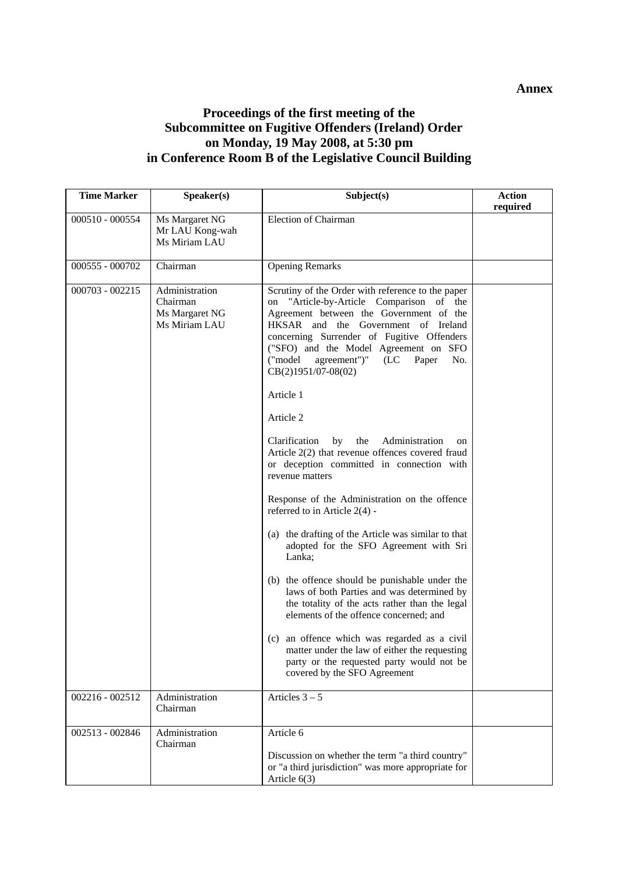### **Annex**

# **Proceedings of the first meeting of the Subcommittee on Fugitive Offenders (Ireland) Order on Monday, 19 May 2008, at 5:30 pm in Conference Room B of the Legislative Council Building**

| <b>Time Marker</b> | Speaker(s)                                                    | Subject(s)                                                                                                                                                                                                                                                                                                                                                                                                                                                                                                                                                                                                                                                                                                                                                                                                                                                                                                                                                                                                                                                                                       | <b>Action</b><br>required |
|--------------------|---------------------------------------------------------------|--------------------------------------------------------------------------------------------------------------------------------------------------------------------------------------------------------------------------------------------------------------------------------------------------------------------------------------------------------------------------------------------------------------------------------------------------------------------------------------------------------------------------------------------------------------------------------------------------------------------------------------------------------------------------------------------------------------------------------------------------------------------------------------------------------------------------------------------------------------------------------------------------------------------------------------------------------------------------------------------------------------------------------------------------------------------------------------------------|---------------------------|
| 000510 - 000554    | Ms Margaret NG<br>Mr LAU Kong-wah<br>Ms Miriam LAU            | <b>Election of Chairman</b>                                                                                                                                                                                                                                                                                                                                                                                                                                                                                                                                                                                                                                                                                                                                                                                                                                                                                                                                                                                                                                                                      |                           |
| 000555 - 000702    | Chairman                                                      | <b>Opening Remarks</b>                                                                                                                                                                                                                                                                                                                                                                                                                                                                                                                                                                                                                                                                                                                                                                                                                                                                                                                                                                                                                                                                           |                           |
| 000703 - 002215    | Administration<br>Chairman<br>Ms Margaret NG<br>Ms Miriam LAU | Scrutiny of the Order with reference to the paper<br>"Article-by-Article Comparison of the<br>on<br>Agreement between the Government of the<br>HKSAR and the Government of Ireland<br>concerning Surrender of Fugitive Offenders<br>("SFO) and the Model Agreement on SFO<br>agreement")"<br>("model<br>(LC)<br>Paper<br>No.<br>CB(2)1951/07-08(02)<br>Article 1<br>Article 2<br>Administration<br>Clarification<br>by<br>the<br>on<br>Article 2(2) that revenue offences covered fraud<br>or deception committed in connection with<br>revenue matters<br>Response of the Administration on the offence<br>referred to in Article $2(4)$ -<br>(a) the drafting of the Article was similar to that<br>adopted for the SFO Agreement with Sri<br>Lanka;<br>(b) the offence should be punishable under the<br>laws of both Parties and was determined by<br>the totality of the acts rather than the legal<br>elements of the offence concerned; and<br>(c) an offence which was regarded as a civil<br>matter under the law of either the requesting<br>party or the requested party would not be |                           |
| 002216 - 002512    | Administration<br>Chairman                                    | covered by the SFO Agreement<br>Articles $3-5$                                                                                                                                                                                                                                                                                                                                                                                                                                                                                                                                                                                                                                                                                                                                                                                                                                                                                                                                                                                                                                                   |                           |
| 002513 - 002846    | Administration<br>Chairman                                    | Article 6<br>Discussion on whether the term "a third country"<br>or "a third jurisdiction" was more appropriate for<br>Article $6(3)$                                                                                                                                                                                                                                                                                                                                                                                                                                                                                                                                                                                                                                                                                                                                                                                                                                                                                                                                                            |                           |